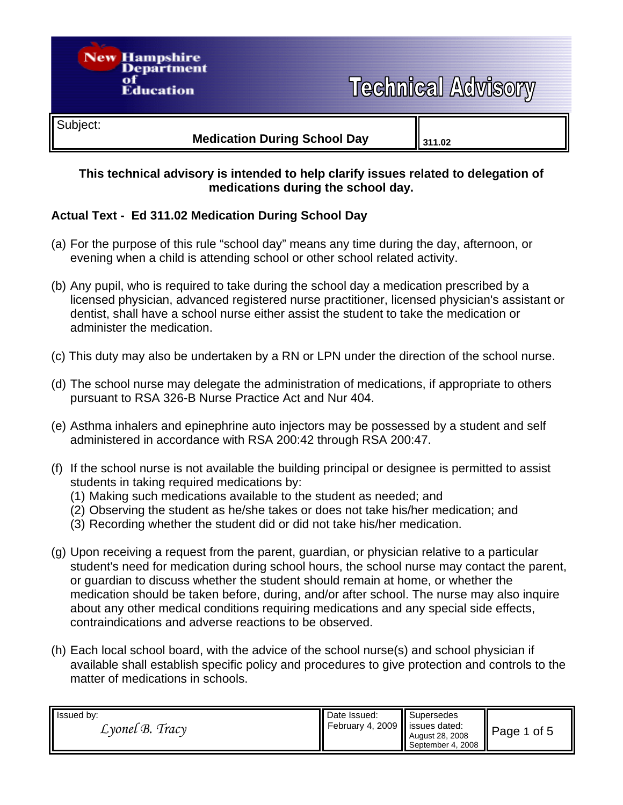

#### **This technical advisory is intended to help clarify issues related to delegation of medications during the school day.**

## **Actual Text - Ed 311.02 Medication During School Day**

- (a) For the purpose of this rule "school day" means any time during the day, afternoon, or evening when a child is attending school or other school related activity.
- (b) Any pupil, who is required to take during the school day a medication prescribed by a licensed physician, advanced registered nurse practitioner, licensed physician's assistant or dentist, shall have a school nurse either assist the student to take the medication or administer the medication.
- (c) This duty may also be undertaken by a RN or LPN under the direction of the school nurse.
- (d) The school nurse may delegate the administration of medications, if appropriate to others pursuant to RSA 326-B Nurse Practice Act and Nur 404.
- (e) Asthma inhalers and epinephrine auto injectors may be possessed by a student and self administered in accordance with RSA 200:42 through RSA 200:47.
- (f) If the school nurse is not available the building principal or designee is permitted to assist students in taking required medications by:
	- (1) Making such medications available to the student as needed; and
	- (2) Observing the student as he/she takes or does not take his/her medication; and
	- (3) Recording whether the student did or did not take his/her medication.
- (g) Upon receiving a request from the parent, guardian, or physician relative to a particular student's need for medication during school hours, the school nurse may contact the parent, or guardian to discuss whether the student should remain at home, or whether the medication should be taken before, during, and/or after school. The nurse may also inquire about any other medical conditions requiring medications and any special side effects, contraindications and adverse reactions to be observed.
- (h) Each local school board, with the advice of the school nurse(s) and school physician if available shall establish specific policy and procedures to give protection and controls to the matter of medications in schools.

| Issued by:                   | Date Issued:                     | Supersedes                           | $\parallel$ Page 1 |
|------------------------------|----------------------------------|--------------------------------------|--------------------|
| $\mathcal{L}$ yonel B. Tracy | February 4, 2009   issues dated: |                                      | of 5               |
|                              |                                  | August 28, 2008<br>September 4, 2008 |                    |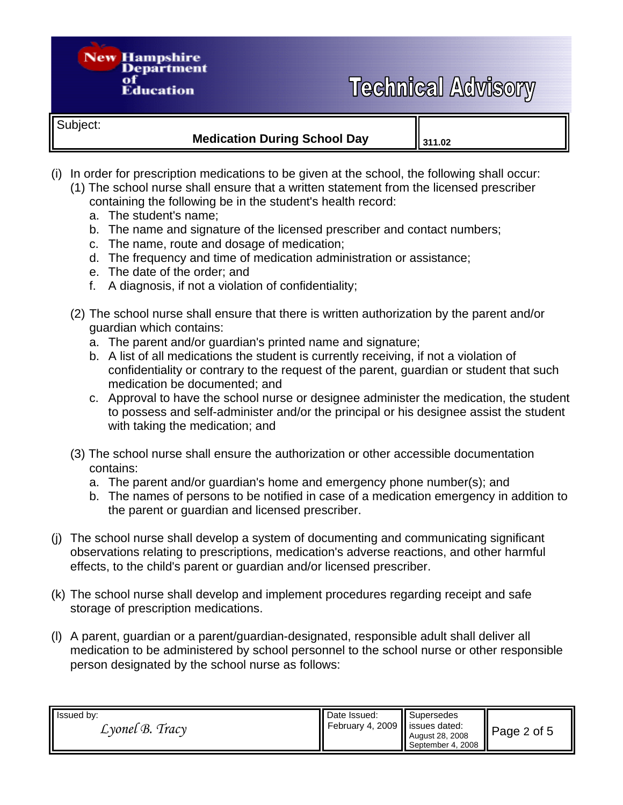# **Technical Advisory**

Subject:

### **Medication During School Day** | <sub>311.02</sub>

- (i) In order for prescription medications to be given at the school, the following shall occur:
	- (1) The school nurse shall ensure that a written statement from the licensed prescriber

containing the following be in the student's health record:

a. The student's name;

**New Hampshire** 

Department

**Education** 

- b. The name and signature of the licensed prescriber and contact numbers;
- c. The name, route and dosage of medication;
- d. The frequency and time of medication administration or assistance;
- e. The date of the order; and
- f. A diagnosis, if not a violation of confidentiality;
- (2) The school nurse shall ensure that there is written authorization by the parent and/or guardian which contains:
	- a. The parent and/or guardian's printed name and signature;
	- b. A list of all medications the student is currently receiving, if not a violation of confidentiality or contrary to the request of the parent, guardian or student that such medication be documented; and
	- c. Approval to have the school nurse or designee administer the medication, the student to possess and self-administer and/or the principal or his designee assist the student with taking the medication; and
- (3) The school nurse shall ensure the authorization or other accessible documentation contains:
	- a. The parent and/or guardian's home and emergency phone number(s); and
	- b. The names of persons to be notified in case of a medication emergency in addition to the parent or guardian and licensed prescriber.
- (j) The school nurse shall develop a system of documenting and communicating significant observations relating to prescriptions, medication's adverse reactions, and other harmful effects, to the child's parent or guardian and/or licensed prescriber.
- (k) The school nurse shall develop and implement procedures regarding receipt and safe storage of prescription medications.
- (l) A parent, guardian or a parent/guardian-designated, responsible adult shall deliver all medication to be administered by school personnel to the school nurse or other responsible person designated by the school nurse as follows:

| Issued by:<br>$L$ yonel $B$ . Tracy | Date Issued:<br>February 4, 2009   issues dated: | Supersedes<br>August 28, 2008<br>September 4, 2008 | $\vert$ Page 2 of 5 |
|-------------------------------------|--------------------------------------------------|----------------------------------------------------|---------------------|
|-------------------------------------|--------------------------------------------------|----------------------------------------------------|---------------------|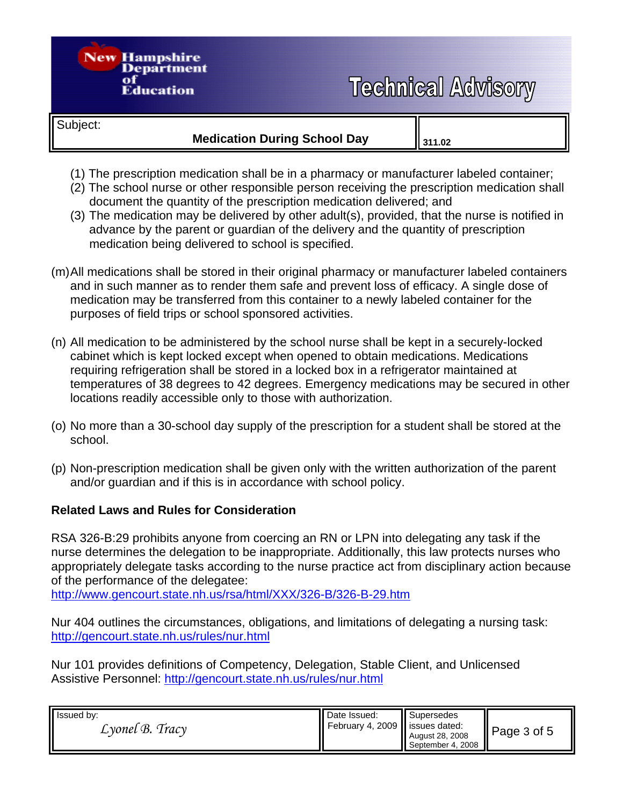# **Technical Advisory**

Subject:

**New Hampshire** 

Department

**Education** 

- (1) The prescription medication shall be in a pharmacy or manufacturer labeled container;
- (2) The school nurse or other responsible person receiving the prescription medication shall document the quantity of the prescription medication delivered; and
- (3) The medication may be delivered by other adult(s), provided, that the nurse is notified in advance by the parent or guardian of the delivery and the quantity of prescription medication being delivered to school is specified.
- (m) All medications shall be stored in their original pharmacy or manufacturer labeled containers and in such manner as to render them safe and prevent loss of efficacy. A single dose of medication may be transferred from this container to a newly labeled container for the purposes of field trips or school sponsored activities.
- (n) All medication to be administered by the school nurse shall be kept in a securely-locked cabinet which is kept locked except when opened to obtain medications. Medications requiring refrigeration shall be stored in a locked box in a refrigerator maintained at temperatures of 38 degrees to 42 degrees. Emergency medications may be secured in other locations readily accessible only to those with authorization.
- (o) No more than a 30-school day supply of the prescription for a student shall be stored at the school.
- (p) Non-prescription medication shall be given only with the written authorization of the parent and/or guardian and if this is in accordance with school policy.

#### **Related Laws and Rules for Consideration**

RSA 326-B:29 prohibits anyone from coercing an RN or LPN into delegating any task if the nurse determines the delegation to be inappropriate. Additionally, this law protects nurses who appropriately delegate tasks according to the nurse practice act from disciplinary action because of the performance of the delegatee:

http://www.gencourt.state.nh.us/rsa/html/XXX/326-B/326-B-29.htm

Nur 404 outlines the circumstances, obligations, and limitations of delegating a nursing task: http://gencourt.state.nh.us/rules/nur.html

Nur 101 provides definitions of Competency, Delegation, Stable Client, and Unlicensed Assistive Personnel: http://gencourt.state.nh.us/rules/nur.html

| Issued by:                   | <b>II</b> Date Issued:           | <b>II</b> Supersedes | Page $3$ of $5$ |
|------------------------------|----------------------------------|----------------------|-----------------|
| $\mathcal{L}$ yonel B. Tracy | February 4, 2009   issues dated: | August 28, 2008      |                 |
|                              |                                  | September 4, 2008    |                 |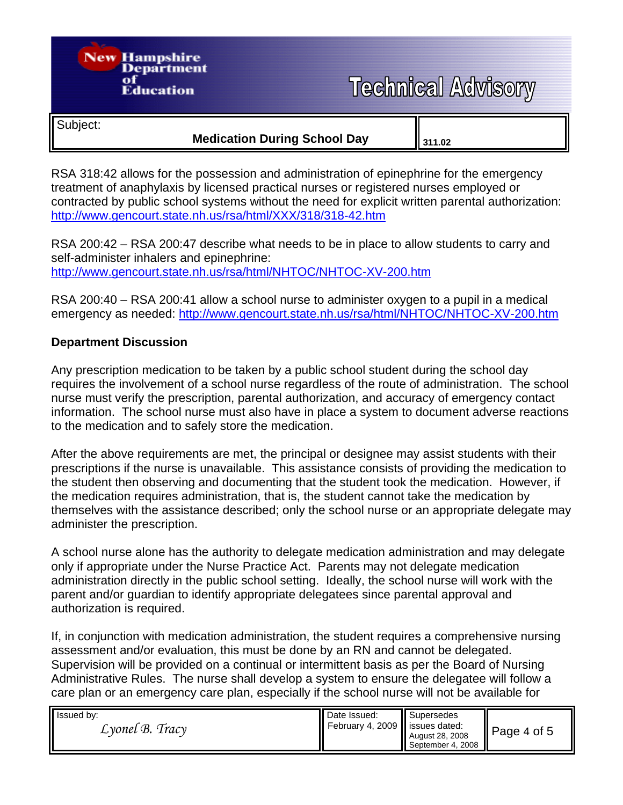# **New Hampshire** Department **Technical Advisory Education** Subject: **Medication During School Day** || 311.02

RSA 318:42 allows for the possession and administration of epinephrine for the emergency treatment of anaphylaxis by licensed practical nurses or registered nurses employed or contracted by public school systems without the need for explicit written parental authorization: http://www.gencourt.state.nh.us/rsa/html/XXX/318/318-42.htm

RSA 200:42 – RSA 200:47 describe what needs to be in place to allow students to carry and self-administer inhalers and epinephrine: http://www.gencourt.state.nh.us/rsa/html/NHTOC/NHTOC-XV-200.htm

RSA 200:40 – RSA 200:41 allow a school nurse to administer oxygen to a pupil in a medical emergency as needed: http://www.gencourt.state.nh.us/rsa/html/NHTOC/NHTOC-XV-200.htm

### **Department Discussion**

Any prescription medication to be taken by a public school student during the school day requires the involvement of a school nurse regardless of the route of administration. The school nurse must verify the prescription, parental authorization, and accuracy of emergency contact information. The school nurse must also have in place a system to document adverse reactions to the medication and to safely store the medication.

After the above requirements are met, the principal or designee may assist students with their prescriptions if the nurse is unavailable. This assistance consists of providing the medication to the student then observing and documenting that the student took the medication. However, if the medication requires administration, that is, the student cannot take the medication by themselves with the assistance described; only the school nurse or an appropriate delegate may administer the prescription.

A school nurse alone has the authority to delegate medication administration and may delegate only if appropriate under the Nurse Practice Act. Parents may not delegate medication administration directly in the public school setting. Ideally, the school nurse will work with the parent and/or guardian to identify appropriate delegatees since parental approval and authorization is required.

If, in conjunction with medication administration, the student requires a comprehensive nursing assessment and/or evaluation, this must be done by an RN and cannot be delegated. Supervision will be provided on a continual or intermittent basis as per the Board of Nursing Administrative Rules. The nurse shall develop a system to ensure the delegatee will follow a care plan or an emergency care plan, especially if the school nurse will not be available for

| Issued by:<br>$L$ vonel $B$ . Tracy | <b>II</b> Date Issued:<br>February 4, 2009 issues dated: | Supersedes<br>August 28, 2008<br>September 4, 2008 | Page 4 of 5 |
|-------------------------------------|----------------------------------------------------------|----------------------------------------------------|-------------|
|-------------------------------------|----------------------------------------------------------|----------------------------------------------------|-------------|